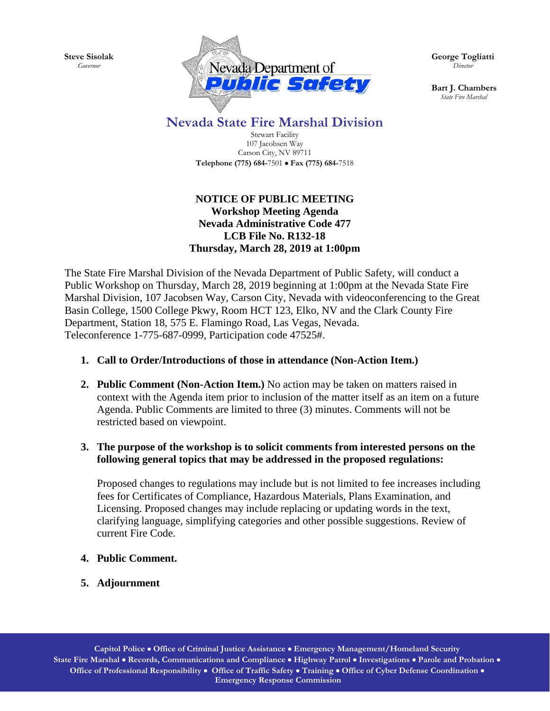**Steve Sisolak** *Governor*



**George Togliatti**  *Director*

**Bart J. Chambers**  *State Fire Marshal*

## **Nevada State Fire Marshal Division**

Stewart Facility 107 Jacobsen Way Carson City, NV 89711 **Telephone (775) 684-**7501 • **Fax (775) 684-**7518

## **NOTICE OF PUBLIC MEETING Workshop Meeting Agenda Nevada Administrative Code 477 LCB File No. R132-18 Thursday, March 28, 2019 at 1:00pm**

The State Fire Marshal Division of the Nevada Department of Public Safety, will conduct a Public Workshop on Thursday, March 28, 2019 beginning at 1:00pm at the Nevada State Fire Marshal Division, 107 Jacobsen Way, Carson City, Nevada with videoconferencing to the Great Basin College, 1500 College Pkwy, Room HCT 123, Elko, NV and the Clark County Fire Department, Station 18, 575 E. Flamingo Road, Las Vegas, Nevada. Teleconference 1-775-687-0999, Participation code 47525#.

## **1. Call to Order/Introductions of those in attendance (Non-Action Item.)**

**2. Public Comment (Non-Action Item.)** No action may be taken on matters raised in context with the Agenda item prior to inclusion of the matter itself as an item on a future Agenda. Public Comments are limited to three (3) minutes. Comments will not be restricted based on viewpoint.

## **3. The purpose of the workshop is to solicit comments from interested persons on the following general topics that may be addressed in the proposed regulations:**

Proposed changes to regulations may include but is not limited to fee increases including fees for Certificates of Compliance, Hazardous Materials, Plans Examination, and Licensing. Proposed changes may include replacing or updating words in the text, clarifying language, simplifying categories and other possible suggestions. Review of current Fire Code.

- **4. Public Comment.**
- **5. Adjournment**